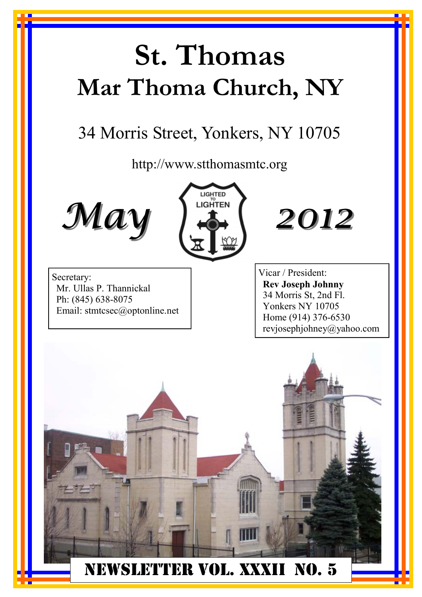# **St. Thomas Mar Thoma Church, NY**

## 34 Morris Street, Yonkers, NY 10705

http://www.stthomasmtc.org







Secretary: Mr. Ullas P. Thannickal Ph: (845) 638-8075 Email: stmtcsec@optonline.net Vicar / President: **Rev Joseph Johnny**  34 Morris St, 2nd Fl. Yonkers NY 10705 Home (914) 376-6530 revjosephjohney@yahoo.com

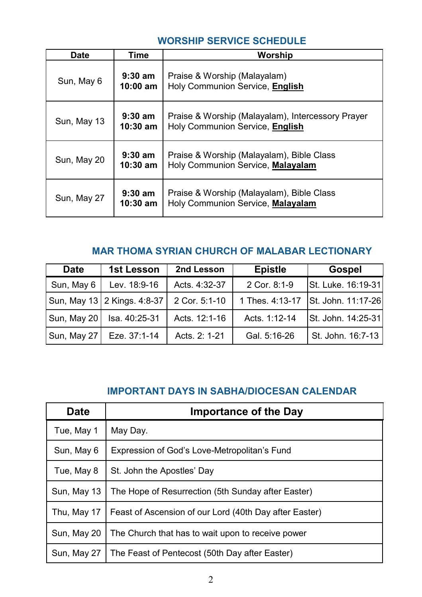#### **WORSHIP SERVICE SCHEDULE**

| Date        | Time                    | Worship                                                                              |
|-------------|-------------------------|--------------------------------------------------------------------------------------|
| Sun, May 6  | $9:30$ am<br>$10:00$ am | Praise & Worship (Malayalam)<br>Holy Communion Service, English                      |
| Sun, May 13 | $9:30$ am<br>$10:30$ am | Praise & Worship (Malayalam), Intercessory Prayer<br>Holy Communion Service, English |
| Sun, May 20 | $9:30$ am<br>$10:30$ am | Praise & Worship (Malayalam), Bible Class<br>Holy Communion Service, Malayalam       |
| Sun, May 27 | $9:30$ am<br>$10:30$ am | Praise & Worship (Malayalam), Bible Class<br>Holy Communion Service, Malayalam       |

### **MAR THOMA SYRIAN CHURCH OF MALABAR LECTIONARY**

| <b>Date</b> | 1st Lesson                  | 2nd Lesson    | <b>Epistle</b> | <b>Gospel</b>                      |
|-------------|-----------------------------|---------------|----------------|------------------------------------|
| Sun, May 6  | Lev. 18:9-16                | Acts. 4:32-37 | 2 Cor. 8:1-9   | St. Luke. 16:19-31                 |
|             | Sun, May 13 2 Kings. 4:8-37 | 2 Cor. 5:1-10 |                | 1 Thes. 4:13-17 St. John. 11:17-26 |
| Sun, May 20 | Isa. 40:25-31               | Acts. 12:1-16 | Acts. 1:12-14  | St. John. 14:25-31                 |
| Sun, May 27 | Eze. 37:1-14                | Acts. 2: 1-21 | Gal. 5:16-26   | St. John. 16:7-13                  |

#### **IMPORTANT DAYS IN SABHA/DIOCESAN CALENDAR**

| <b>Date</b> | <b>Importance of the Day</b>                           |
|-------------|--------------------------------------------------------|
| Tue, May 1  | May Day.                                               |
| Sun, May 6  | Expression of God's Love-Metropolitan's Fund           |
| Tue, May 8  | St. John the Apostles' Day                             |
| Sun, May 13 | The Hope of Resurrection (5th Sunday after Easter)     |
| Thu, May 17 | Feast of Ascension of our Lord (40th Day after Easter) |
| Sun, May 20 | The Church that has to wait upon to receive power      |
| Sun, May 27 | The Feast of Pentecost (50th Day after Easter)         |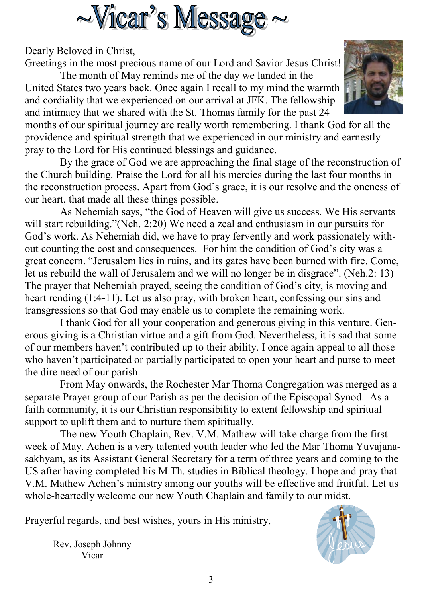

Dearly Beloved in Christ,

Greetings in the most precious name of our Lord and Savior Jesus Christ!

 The month of May reminds me of the day we landed in the United States two years back. Once again I recall to my mind the warmth and cordiality that we experienced on our arrival at JFK. The fellowship and intimacy that we shared with the St. Thomas family for the past 24



months of our spiritual journey are really worth remembering. I thank God for all the providence and spiritual strength that we experienced in our ministry and earnestly pray to the Lord for His continued blessings and guidance.

 By the grace of God we are approaching the final stage of the reconstruction of the Church building. Praise the Lord for all his mercies during the last four months in the reconstruction process. Apart from God's grace, it is our resolve and the oneness of our heart, that made all these things possible.

 As Nehemiah says, "the God of Heaven will give us success. We His servants will start rebuilding."(Neh. 2:20) We need a zeal and enthusiasm in our pursuits for God's work. As Nehemiah did, we have to pray fervently and work passionately without counting the cost and consequences. For him the condition of God's city was a great concern. "Jerusalem lies in ruins, and its gates have been burned with fire. Come, let us rebuild the wall of Jerusalem and we will no longer be in disgrace". (Neh.2: 13) The prayer that Nehemiah prayed, seeing the condition of God's city, is moving and heart rending (1:4-11). Let us also pray, with broken heart, confessing our sins and transgressions so that God may enable us to complete the remaining work.

 I thank God for all your cooperation and generous giving in this venture. Generous giving is a Christian virtue and a gift from God. Nevertheless, it is sad that some of our members haven't contributed up to their ability. I once again appeal to all those who haven't participated or partially participated to open your heart and purse to meet the dire need of our parish.

 From May onwards, the Rochester Mar Thoma Congregation was merged as a separate Prayer group of our Parish as per the decision of the Episcopal Synod. As a faith community, it is our Christian responsibility to extent fellowship and spiritual support to uplift them and to nurture them spiritually.

 The new Youth Chaplain, Rev. V.M. Mathew will take charge from the first week of May. Achen is a very talented youth leader who led the Mar Thoma Yuvajanasakhyam, as its Assistant General Secretary for a term of three years and coming to the US after having completed his M.Th. studies in Biblical theology. I hope and pray that V.M. Mathew Achen's ministry among our youths will be effective and fruitful. Let us whole-heartedly welcome our new Youth Chaplain and family to our midst.

Prayerful regards, and best wishes, yours in His ministry,

Rev. Joseph Johnny Vicar

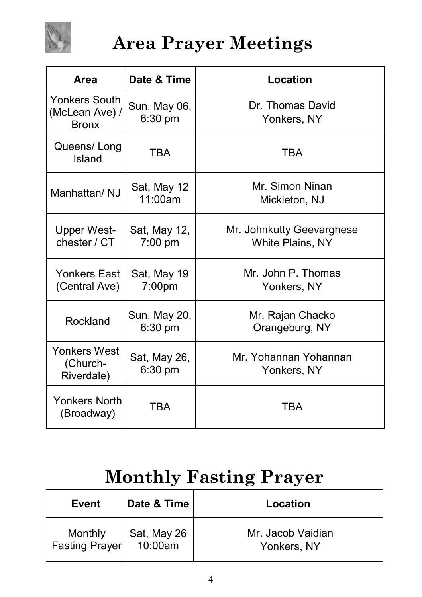

## **Area Prayer Meetings**

| Area                                            | Date & Time                       | Location                                             |
|-------------------------------------------------|-----------------------------------|------------------------------------------------------|
| Yonkers South<br>(McLean Ave) /<br><b>Bronx</b> | Sun, May 06,<br>$6:30$ pm         | Dr. Thomas David<br>Yonkers, NY                      |
| Queens/Long<br>Island                           | TBA                               | TBA                                                  |
| Manhattan/ NJ                                   | Sat, May 12<br>11:00am            | Mr. Simon Ninan<br>Mickleton, NJ                     |
| <b>Upper West-</b><br>chester / CT              | Sat, May 12,<br>$7:00$ pm         | Mr. Johnkutty Geevarghese<br><b>White Plains, NY</b> |
| Yonkers East<br>(Central Ave)                   | Sat, May 19<br>7:00 <sub>pm</sub> | Mr. John P. Thomas<br>Yonkers, NY                    |
| Rockland                                        | Sun, May 20,<br>$6:30$ pm         | Mr. Rajan Chacko<br>Orangeburg, NY                   |
| Yonkers West<br>(Church-<br>Riverdale)          | Sat, May 26,<br>6:30 pm           | Mr. Yohannan Yohannan<br>Yonkers, NY                 |
| Yonkers North<br>(Broadway)                     | <b>TBA</b>                        | TBA                                                  |

## **Monthly Fasting Prayer**

| <b>Event</b>              | Date & Time            | Location                         |
|---------------------------|------------------------|----------------------------------|
| Monthly<br>Fasting Prayer | Sat, May 26<br>10:00am | Mr. Jacob Vaidian<br>Yonkers, NY |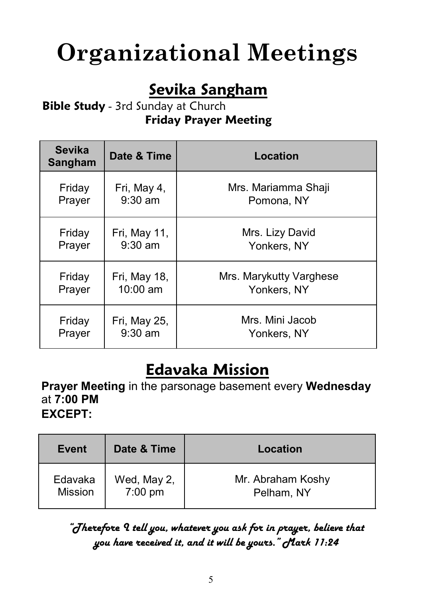# **Organizational Meetings**

### **Sevika Sangham**

### **Bible Study** - 3rd Sunday at Church **Friday Prayer Meeting**

| <b>Sevika</b><br><b>Sangham</b> | Date & Time  | Location                |  |
|---------------------------------|--------------|-------------------------|--|
| Friday                          | Fri, May 4,  | Mrs. Mariamma Shaji     |  |
| Prayer                          | $9:30$ am    | Pomona, NY              |  |
| Friday                          | Fri, May 11, | Mrs. Lizy David         |  |
| Prayer                          | $9:30$ am    | Yonkers, NY             |  |
| Friday                          | Fri, May 18, | Mrs. Marykutty Varghese |  |
| Prayer                          | 10:00 am     | Yonkers, NY             |  |
| Friday                          | Fri, May 25, | Mrs. Mini Jacob         |  |
| Prayer                          | $9:30$ am    | Yonkers, NY             |  |

### **Edavaka Mission**

**Prayer Meeting** in the parsonage basement every **Wednesday** at **7:00 PM EXCEPT:** 

| Event                     | Date & Time            | Location                        |
|---------------------------|------------------------|---------------------------------|
| Edavaka<br><b>Mission</b> | Wed, May 2,<br>7:00 pm | Mr. Abraham Koshy<br>Pelham, NY |

### *"Therefore I tell you, whatever you ask for in prayer, believe that you have received it, and it will be yours." Mark 11:24*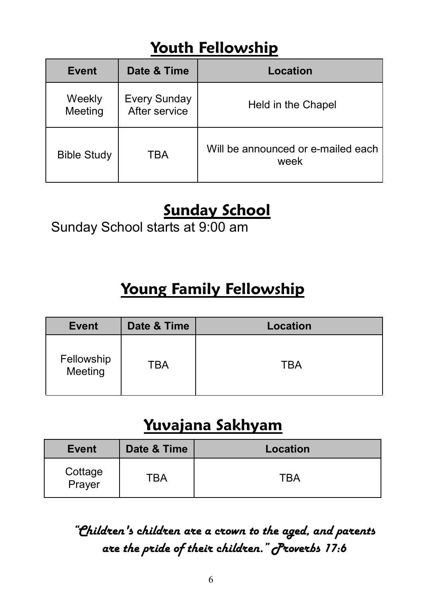### **Youth Fellowship**

| <b>Event</b>       | Date & Time                          | Location                                   |
|--------------------|--------------------------------------|--------------------------------------------|
| Weekly<br>Meeting  | <b>Every Sunday</b><br>After service | Held in the Chapel                         |
| <b>Bible Study</b> | TBA                                  | Will be announced or e-mailed each<br>week |

### **Sunday School**

Sunday School starts at 9:00 am

### **Young Family Fellowship**

| <b>Event</b>          | Date & Time | Location |
|-----------------------|-------------|----------|
| Fellowship<br>Meeting | TBA         | TBA      |

### **Yuvajana Sakhyam**

| <b>Event</b>      | Date & Time | Location |
|-------------------|-------------|----------|
| Cottage<br>Prayer | TBA         | TBA      |

*"Children's children are a crown to the aged, and parents are the pride of their children." Proverbs 17:6*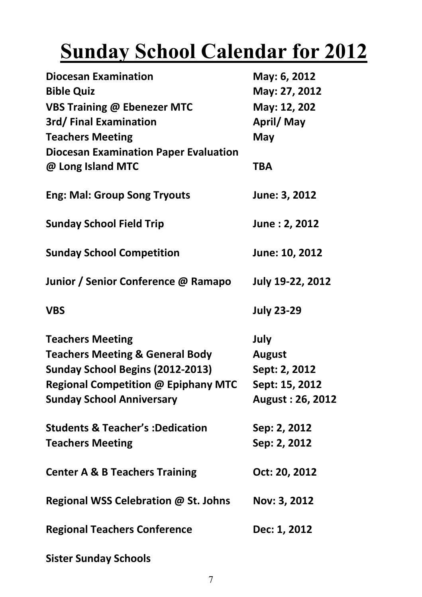# **Sunday School Calendar for 2012**

| <b>Diocesan Examination</b><br><b>Bible Quiz</b><br><b>VBS Training @ Ebenezer MTC</b><br>3rd/Final Examination<br><b>Teachers Meeting</b><br><b>Diocesan Examination Paper Evaluation</b><br>@ Long Island MTC                            | May: 6, 2012<br>May: 27, 2012<br>May: 12, 202<br>April/May<br>May<br>TBA     |
|--------------------------------------------------------------------------------------------------------------------------------------------------------------------------------------------------------------------------------------------|------------------------------------------------------------------------------|
| <b>Eng: Mal: Group Song Tryouts</b>                                                                                                                                                                                                        | June: 3, 2012                                                                |
| <b>Sunday School Field Trip</b>                                                                                                                                                                                                            | June: 2, 2012                                                                |
| <b>Sunday School Competition</b>                                                                                                                                                                                                           | June: 10, 2012                                                               |
| Junior / Senior Conference @ Ramapo                                                                                                                                                                                                        | July 19-22, 2012                                                             |
| <b>VBS</b>                                                                                                                                                                                                                                 | <b>July 23-29</b>                                                            |
| <b>Teachers Meeting</b><br><b>Teachers Meeting &amp; General Body</b><br>Sunday School Begins (2012-2013)<br><b>Regional Competition @ Epiphany MTC</b><br><b>Sunday School Anniversary</b><br><b>Students &amp; Teacher's: Dedication</b> | July<br><b>August</b><br>Sept: 2, 2012<br>Sept: 15, 2012<br>August: 26, 2012 |
| <b>Teachers Meeting</b>                                                                                                                                                                                                                    | Sep: 2, 2012<br>Sep: 2, 2012                                                 |
| <b>Center A &amp; B Teachers Training</b>                                                                                                                                                                                                  | Oct: 20, 2012                                                                |
| Regional WSS Celebration @ St. Johns                                                                                                                                                                                                       | Nov: 3, 2012                                                                 |
| <b>Regional Teachers Conference</b>                                                                                                                                                                                                        | Dec: 1, 2012                                                                 |
| <b>Sister Sunday Schools</b>                                                                                                                                                                                                               |                                                                              |